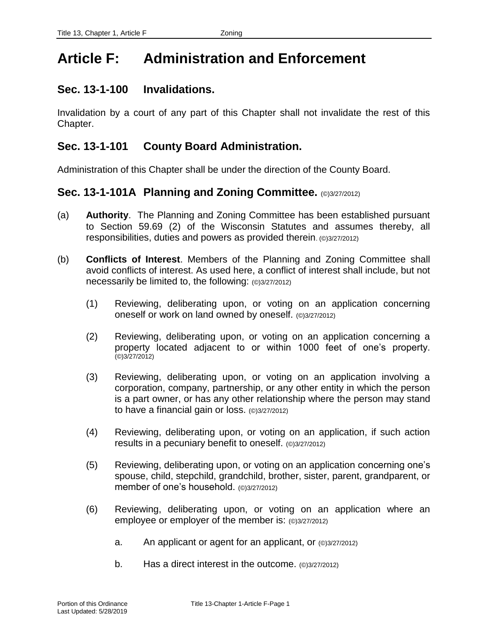# **Article F: Administration and Enforcement**

### **Sec. 13-1-100 Invalidations.**

Invalidation by a court of any part of this Chapter shall not invalidate the rest of this Chapter.

### **Sec. 13-1-101 County Board Administration.**

Administration of this Chapter shall be under the direction of the County Board.

### **Sec. 13-1-101A Planning and Zoning Committee.** (©)3/27/2012)

- (a) **Authority**. The Planning and Zoning Committee has been established pursuant to Section 59.69 (2) of the Wisconsin Statutes and assumes thereby, all responsibilities, duties and powers as provided therein. (©)3/27/2012)
- (b) **Conflicts of Interest**. Members of the Planning and Zoning Committee shall avoid conflicts of interest. As used here, a conflict of interest shall include, but not necessarily be limited to, the following: (©)3/27/2012)
	- (1) Reviewing, deliberating upon, or voting on an application concerning oneself or work on land owned by oneself. (©)3/27/2012)
	- (2) Reviewing, deliberating upon, or voting on an application concerning a property located adjacent to or within 1000 feet of one's property.  $(©)3/27/2012)$
	- (3) Reviewing, deliberating upon, or voting on an application involving a corporation, company, partnership, or any other entity in which the person is a part owner, or has any other relationship where the person may stand to have a financial gain or loss. (©)3/27/2012)
	- (4) Reviewing, deliberating upon, or voting on an application, if such action results in a pecuniary benefit to oneself. (©)3/27/2012)
	- (5) Reviewing, deliberating upon, or voting on an application concerning one's spouse, child, stepchild, grandchild, brother, sister, parent, grandparent, or member of one's household. (©)3/27/2012)
	- (6) Reviewing, deliberating upon, or voting on an application where an employee or employer of the member is: (©)3/27/2012)
		- a. An applicant or agent for an applicant, or (©)3/27/2012)
		- b. Has a direct interest in the outcome. (©)3/27/2012)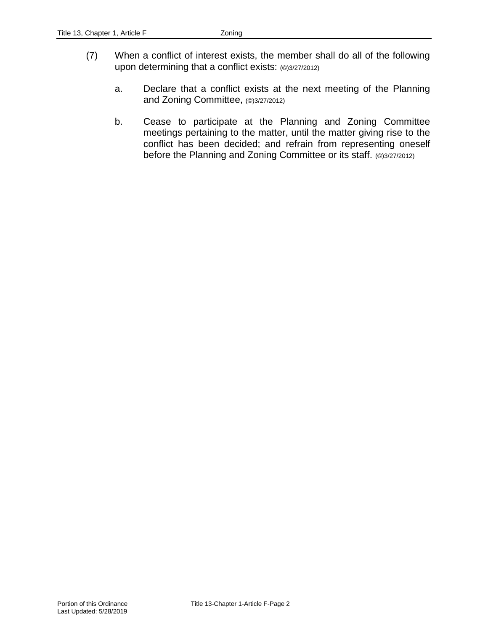- (7) When a conflict of interest exists, the member shall do all of the following upon determining that a conflict exists: (0)3/27/2012)
	- a. Declare that a conflict exists at the next meeting of the Planning and Zoning Committee, (©)3/27/2012)
	- b. Cease to participate at the Planning and Zoning Committee meetings pertaining to the matter, until the matter giving rise to the conflict has been decided; and refrain from representing oneself before the Planning and Zoning Committee or its staff. (©)3/27/2012)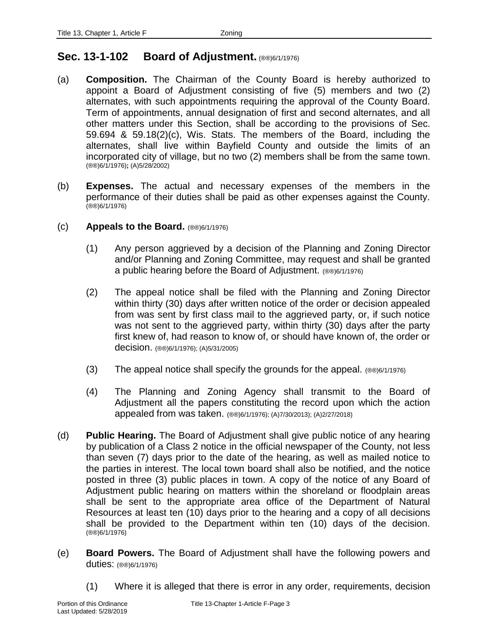### **Sec. 13-1-102 Board of Adjustment.** (®®)6/1/1976)

- (a) **Composition.** The Chairman of the County Board is hereby authorized to appoint a Board of Adjustment consisting of five (5) members and two (2) alternates, with such appointments requiring the approval of the County Board. Term of appointments, annual designation of first and second alternates, and all other matters under this Section, shall be according to the provisions of Sec. 59.694 & 59.18(2)(c), Wis. Stats. The members of the Board, including the alternates, shall live within Bayfield County and outside the limits of an incorporated city of village, but no two (2) members shall be from the same town. (®®)6/1/1976)**;** (A)5/28/2002)
- (b) **Expenses.** The actual and necessary expenses of the members in the performance of their duties shall be paid as other expenses against the County. (®®)6/1/1976)
- (c) **Appeals to the Board.** (®®)6/1/1976)
	- (1) Any person aggrieved by a decision of the Planning and Zoning Director and/or Planning and Zoning Committee, may request and shall be granted a public hearing before the Board of Adjustment. (®®)6/1/1976)
	- (2) The appeal notice shall be filed with the Planning and Zoning Director within thirty (30) days after written notice of the order or decision appealed from was sent by first class mail to the aggrieved party, or, if such notice was not sent to the aggrieved party, within thirty (30) days after the party first knew of, had reason to know of, or should have known of, the order or decision. (®®)6/1/1976); (A)5/31/2005)
	- (3) The appeal notice shall specify the grounds for the appeal. (®®)6/1/1976)
	- (4) The Planning and Zoning Agency shall transmit to the Board of Adjustment all the papers constituting the record upon which the action appealed from was taken. (®®)6/1/1976); (A)7/30/2013); (A)2/27/2018)
- (d) **Public Hearing.** The Board of Adjustment shall give public notice of any hearing by publication of a Class 2 notice in the official newspaper of the County, not less than seven (7) days prior to the date of the hearing, as well as mailed notice to the parties in interest. The local town board shall also be notified, and the notice posted in three (3) public places in town. A copy of the notice of any Board of Adjustment public hearing on matters within the shoreland or floodplain areas shall be sent to the appropriate area office of the Department of Natural Resources at least ten (10) days prior to the hearing and a copy of all decisions shall be provided to the Department within ten (10) days of the decision. (®®)6/1/1976)
- (e) **Board Powers.** The Board of Adjustment shall have the following powers and duties: (®®)6/1/1976)
	- (1) Where it is alleged that there is error in any order, requirements, decision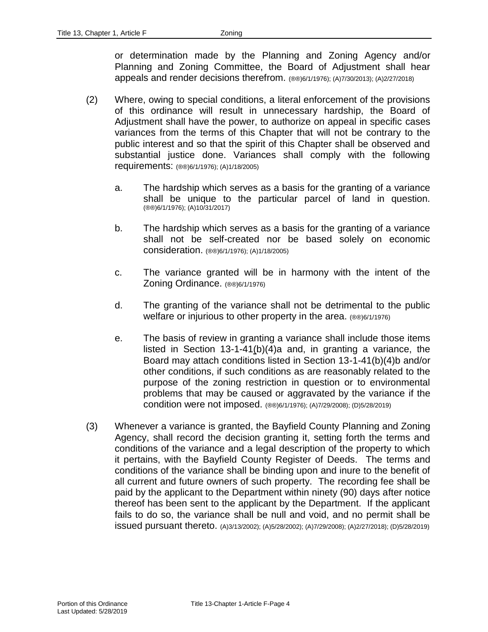or determination made by the Planning and Zoning Agency and/or Planning and Zoning Committee, the Board of Adjustment shall hear appeals and render decisions therefrom. (®®)6/1/1976); (A)7/30/2013); (A)2/27/2018)

- (2) Where, owing to special conditions, a literal enforcement of the provisions of this ordinance will result in unnecessary hardship, the Board of Adjustment shall have the power, to authorize on appeal in specific cases variances from the terms of this Chapter that will not be contrary to the public interest and so that the spirit of this Chapter shall be observed and substantial justice done. Variances shall comply with the following requirements: (®®)6/1/1976); (A)1/18/2005)
	- a. The hardship which serves as a basis for the granting of a variance shall be unique to the particular parcel of land in question. (®®)6/1/1976); (A)10/31/2017)
	- b. The hardship which serves as a basis for the granting of a variance shall not be self-created nor be based solely on economic consideration. (®®)6/1/1976); (A)1/18/2005)
	- c. The variance granted will be in harmony with the intent of the Zoning Ordinance. (®®)6/1/1976)
	- d. The granting of the variance shall not be detrimental to the public welfare or injurious to other property in the area. (®®)6/1/1976)
	- e. The basis of review in granting a variance shall include those items listed in Section 13-1-41(b)(4)a and, in granting a variance, the Board may attach conditions listed in Section 13-1-41(b)(4)b and/or other conditions, if such conditions as are reasonably related to the purpose of the zoning restriction in question or to environmental problems that may be caused or aggravated by the variance if the condition were not imposed. (®®)6/1/1976); (A)7/29/2008); (D)5/28/2019)
- (3) Whenever a variance is granted, the Bayfield County Planning and Zoning Agency, shall record the decision granting it, setting forth the terms and conditions of the variance and a legal description of the property to which it pertains, with the Bayfield County Register of Deeds. The terms and conditions of the variance shall be binding upon and inure to the benefit of all current and future owners of such property. The recording fee shall be paid by the applicant to the Department within ninety (90) days after notice thereof has been sent to the applicant by the Department. If the applicant fails to do so, the variance shall be null and void, and no permit shall be issued pursuant thereto. (A)3/13/2002); (A)5/28/2002); (A)7/29/2008); (A)2/27/2018); (D)5/28/2019)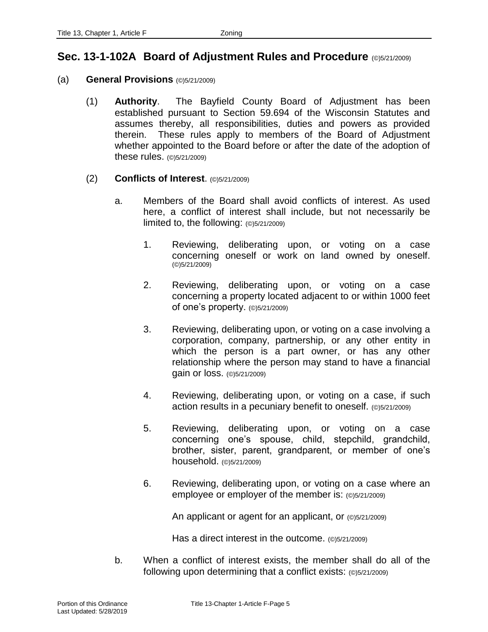### **Sec. 13-1-102A Board of Adjustment Rules and Procedure** (©)5/21/2009)

#### (a) **General Provisions** (©)5/21/2009)

- (1) **Authority**. The Bayfield County Board of Adjustment has been established pursuant to Section 59.694 of the Wisconsin Statutes and assumes thereby, all responsibilities, duties and powers as provided therein. These rules apply to members of the Board of Adjustment whether appointed to the Board before or after the date of the adoption of these rules. (©)5/21/2009)
- (2) **Conflicts of Interest**. (©)5/21/2009)
	- a. Members of the Board shall avoid conflicts of interest. As used here, a conflict of interest shall include, but not necessarily be limited to, the following: (©)5/21/2009)
		- 1. Reviewing, deliberating upon, or voting on a case concerning oneself or work on land owned by oneself. (©)5/21/2009)
		- 2. Reviewing, deliberating upon, or voting on a case concerning a property located adjacent to or within 1000 feet of one's property. (©)5/21/2009)
		- 3. Reviewing, deliberating upon, or voting on a case involving a corporation, company, partnership, or any other entity in which the person is a part owner, or has any other relationship where the person may stand to have a financial gain or loss. (©)5/21/2009)
		- 4. Reviewing, deliberating upon, or voting on a case, if such action results in a pecuniary benefit to oneself. (©)5/21/2009)
		- 5. Reviewing, deliberating upon, or voting on a case concerning one's spouse, child, stepchild, grandchild, brother, sister, parent, grandparent, or member of one's household. (©)5/21/2009)
		- 6. Reviewing, deliberating upon, or voting on a case where an employee or employer of the member is: (©)5/21/2009)

An applicant or agent for an applicant, or (©)5/21/2009)

Has a direct interest in the outcome. (©)5/21/2009)

b. When a conflict of interest exists, the member shall do all of the following upon determining that a conflict exists: (©)5/21/2009)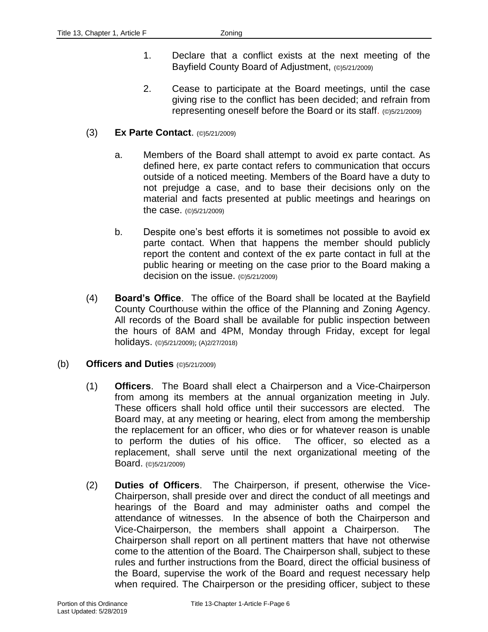- 1. Declare that a conflict exists at the next meeting of the Bayfield County Board of Adjustment, (©)5/21/2009)
- 2. Cease to participate at the Board meetings, until the case giving rise to the conflict has been decided; and refrain from representing oneself before the Board or its staff. (©)5/21/2009)

#### (3) **Ex Parte Contact**. (©)5/21/2009)

- a. Members of the Board shall attempt to avoid ex parte contact. As defined here, ex parte contact refers to communication that occurs outside of a noticed meeting. Members of the Board have a duty to not prejudge a case, and to base their decisions only on the material and facts presented at public meetings and hearings on the case. (©)5/21/2009)
- b. Despite one's best efforts it is sometimes not possible to avoid ex parte contact. When that happens the member should publicly report the content and context of the ex parte contact in full at the public hearing or meeting on the case prior to the Board making a decision on the issue. (©)5/21/2009)
- (4) **Board's Office**. The office of the Board shall be located at the Bayfield County Courthouse within the office of the Planning and Zoning Agency. All records of the Board shall be available for public inspection between the hours of 8AM and 4PM, Monday through Friday, except for legal holidays. (©)5/21/2009); (A)2/27/2018)

#### (b) **Officers and Duties** (©)5/21/2009)

- (1) **Officers**. The Board shall elect a Chairperson and a Vice-Chairperson from among its members at the annual organization meeting in July. These officers shall hold office until their successors are elected. The Board may, at any meeting or hearing, elect from among the membership the replacement for an officer, who dies or for whatever reason is unable to perform the duties of his office. The officer, so elected as a replacement, shall serve until the next organizational meeting of the Board. (©)5/21/2009)
- (2) **Duties of Officers**. The Chairperson, if present, otherwise the Vice-Chairperson, shall preside over and direct the conduct of all meetings and hearings of the Board and may administer oaths and compel the attendance of witnesses. In the absence of both the Chairperson and Vice-Chairperson, the members shall appoint a Chairperson. The Chairperson shall report on all pertinent matters that have not otherwise come to the attention of the Board. The Chairperson shall, subject to these rules and further instructions from the Board, direct the official business of the Board, supervise the work of the Board and request necessary help when required. The Chairperson or the presiding officer, subject to these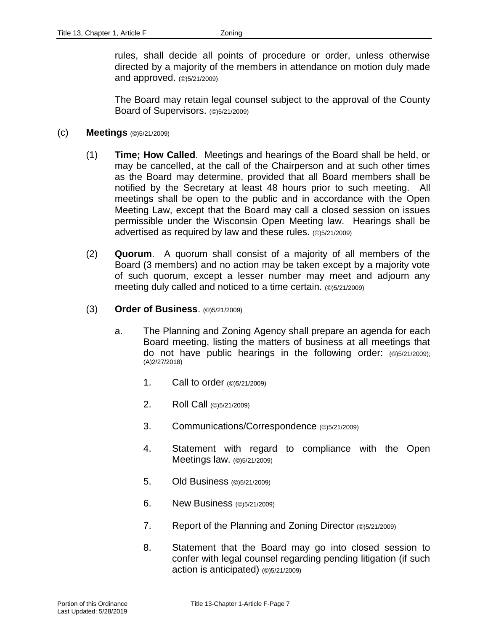rules, shall decide all points of procedure or order, unless otherwise directed by a majority of the members in attendance on motion duly made and approved. (©)5/21/2009)

The Board may retain legal counsel subject to the approval of the County Board of Supervisors. (©)5/21/2009)

#### (c) **Meetings** (©)5/21/2009)

- (1) **Time; How Called**. Meetings and hearings of the Board shall be held, or may be cancelled, at the call of the Chairperson and at such other times as the Board may determine, provided that all Board members shall be notified by the Secretary at least 48 hours prior to such meeting. All meetings shall be open to the public and in accordance with the Open Meeting Law, except that the Board may call a closed session on issues permissible under the Wisconsin Open Meeting law. Hearings shall be advertised as required by law and these rules. (©)5/21/2009)
- (2) **Quorum**. A quorum shall consist of a majority of all members of the Board (3 members) and no action may be taken except by a majority vote of such quorum, except a lesser number may meet and adjourn any meeting duly called and noticed to a time certain. (©)5/21/2009)
- (3) **Order of Business**. (©)5/21/2009)
	- a. The Planning and Zoning Agency shall prepare an agenda for each Board meeting, listing the matters of business at all meetings that do not have public hearings in the following order: (©)5/21/2009); (A)2/27/2018)
		- 1. Call to order (©)5/21/2009)
		- 2. Roll Call (©)5/21/2009)
		- 3. Communications/Correspondence (©)5/21/2009)
		- 4. Statement with regard to compliance with the Open Meetings law. (©)5/21/2009)
		- 5. Old Business (©)5/21/2009)
		- 6. New Business (©)5/21/2009)
		- 7. Report of the Planning and Zoning Director (©)5/21/2009)
		- 8. Statement that the Board may go into closed session to confer with legal counsel regarding pending litigation (if such action is anticipated) (©)5/21/2009)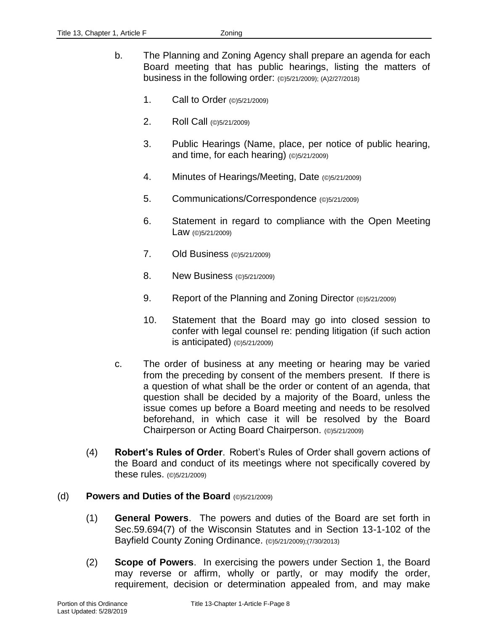- b. The Planning and Zoning Agency shall prepare an agenda for each Board meeting that has public hearings, listing the matters of business in the following order: (©)5/21/2009); (A)2/27/2018)
	- 1. Call to Order (©)5/21/2009)
	- 2. Roll Call (©)5/21/2009)
	- 3. Public Hearings (Name, place, per notice of public hearing, and time, for each hearing) (©)5/21/2009)
	- 4. Minutes of Hearings/Meeting, Date (©)5/21/2009)
	- 5. Communications/Correspondence (©)5/21/2009)
	- 6. Statement in regard to compliance with the Open Meeting Law (©)5/21/2009)
	- 7. Old Business (©)5/21/2009)
	- 8. New Business (©)5/21/2009)
	- 9. Report of the Planning and Zoning Director (©)5/21/2009)
	- 10. Statement that the Board may go into closed session to confer with legal counsel re: pending litigation (if such action is anticipated) (©)5/21/2009)
- c. The order of business at any meeting or hearing may be varied from the preceding by consent of the members present. If there is a question of what shall be the order or content of an agenda, that question shall be decided by a majority of the Board, unless the issue comes up before a Board meeting and needs to be resolved beforehand, in which case it will be resolved by the Board Chairperson or Acting Board Chairperson. (©)5/21/2009)
- (4) **Robert's Rules of Order**. Robert's Rules of Order shall govern actions of the Board and conduct of its meetings where not specifically covered by these rules. (©)5/21/2009)

#### (d) **Powers and Duties of the Board** (©)5/21/2009)

- (1) **General Powers**. The powers and duties of the Board are set forth in Sec.59.694(7) of the Wisconsin Statutes and in Section 13-1-102 of the Bayfield County Zoning Ordinance. (@)5/21/2009):(7/30/2013)
- (2) **Scope of Powers**. In exercising the powers under Section 1, the Board may reverse or affirm, wholly or partly, or may modify the order, requirement, decision or determination appealed from, and may make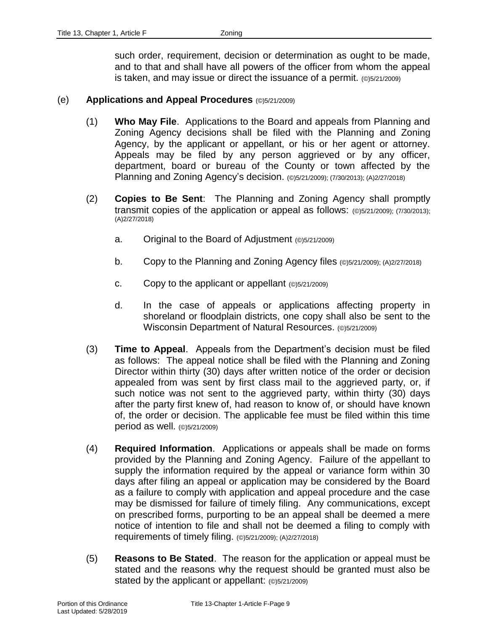such order, requirement, decision or determination as ought to be made, and to that and shall have all powers of the officer from whom the appeal is taken, and may issue or direct the issuance of a permit. (©)5/21/2009)

#### (e) **Applications and Appeal Procedures** (©)5/21/2009)

- (1) **Who May File**. Applications to the Board and appeals from Planning and Zoning Agency decisions shall be filed with the Planning and Zoning Agency, by the applicant or appellant, or his or her agent or attorney. Appeals may be filed by any person aggrieved or by any officer, department, board or bureau of the County or town affected by the Planning and Zoning Agency's decision. (©)5/21/2009); (7/30/2013); (A)2/27/2018)
- (2) **Copies to Be Sent**: The Planning and Zoning Agency shall promptly transmit copies of the application or appeal as follows: (©)5/21/2009); (7/30/2013); (A)2/27/2018)
	- a. Original to the Board of Adjustment (©)5/21/2009)
	- b. Copy to the Planning and Zoning Agency files (©)5/21/2009); (A)2/27/2018)
	- c. Copy to the applicant or appellant (©)5/21/2009)
	- d. In the case of appeals or applications affecting property in shoreland or floodplain districts, one copy shall also be sent to the Wisconsin Department of Natural Resources. (@)5/21/2009)
- (3) **Time to Appeal**. Appeals from the Department's decision must be filed as follows: The appeal notice shall be filed with the Planning and Zoning Director within thirty (30) days after written notice of the order or decision appealed from was sent by first class mail to the aggrieved party, or, if such notice was not sent to the aggrieved party, within thirty (30) days after the party first knew of, had reason to know of, or should have known of, the order or decision. The applicable fee must be filed within this time period as well. (©)5/21/2009)
- (4) **Required Information**. Applications or appeals shall be made on forms provided by the Planning and Zoning Agency. Failure of the appellant to supply the information required by the appeal or variance form within 30 days after filing an appeal or application may be considered by the Board as a failure to comply with application and appeal procedure and the case may be dismissed for failure of timely filing. Any communications, except on prescribed forms, purporting to be an appeal shall be deemed a mere notice of intention to file and shall not be deemed a filing to comply with requirements of timely filing. (©)5/21/2009); (A)2/27/2018)
- (5) **Reasons to Be Stated**. The reason for the application or appeal must be stated and the reasons why the request should be granted must also be stated by the applicant or appellant: (©)5/21/2009)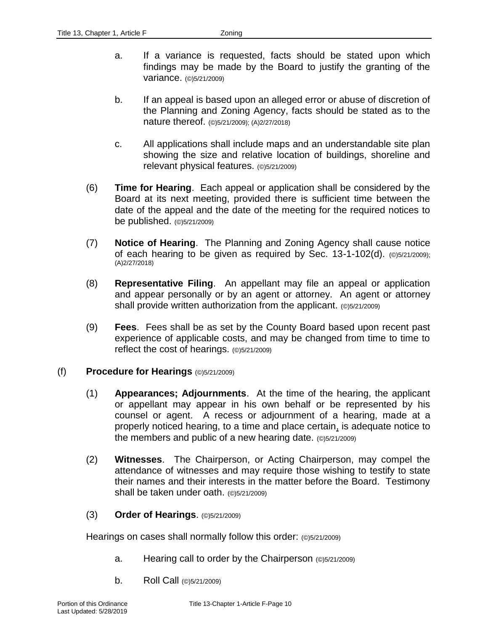- a. If a variance is requested, facts should be stated upon which findings may be made by the Board to justify the granting of the variance. (©)5/21/2009)
- b. If an appeal is based upon an alleged error or abuse of discretion of the Planning and Zoning Agency, facts should be stated as to the nature thereof. (©)5/21/2009); (A)2/27/2018)
- c. All applications shall include maps and an understandable site plan showing the size and relative location of buildings, shoreline and relevant physical features. (©)5/21/2009)
- (6) **Time for Hearing**. Each appeal or application shall be considered by the Board at its next meeting, provided there is sufficient time between the date of the appeal and the date of the meeting for the required notices to be published. (©)5/21/2009)
- (7) **Notice of Hearing**. The Planning and Zoning Agency shall cause notice of each hearing to be given as required by Sec. 13-1-102(d). (©)5/21/2009); (A)2/27/2018)
- (8) **Representative Filing**. An appellant may file an appeal or application and appear personally or by an agent or attorney. An agent or attorney shall provide written authorization from the applicant. (©)5/21/2009)
- (9) **Fees**. Fees shall be as set by the County Board based upon recent past experience of applicable costs, and may be changed from time to time to reflect the cost of hearings. (©)5/21/2009)

#### (f) **Procedure for Hearings** (©)5/21/2009)

- (1) **Appearances; Adjournments**. At the time of the hearing, the applicant or appellant may appear in his own behalf or be represented by his counsel or agent. A recess or adjournment of a hearing, made at a properly noticed hearing, to a time and place certain, is adequate notice to the members and public of a new hearing date. (©)5/21/2009)
- (2) **Witnesses**. The Chairperson, or Acting Chairperson, may compel the attendance of witnesses and may require those wishing to testify to state their names and their interests in the matter before the Board. Testimony shall be taken under oath. (©)5/21/2009)
- (3) **Order of Hearings**. (©)5/21/2009)

Hearings on cases shall normally follow this order: (©)5/21/2009)

- a. Hearing call to order by the Chairperson (©)5/21/2009)
- b. Roll Call (©)5/21/2009)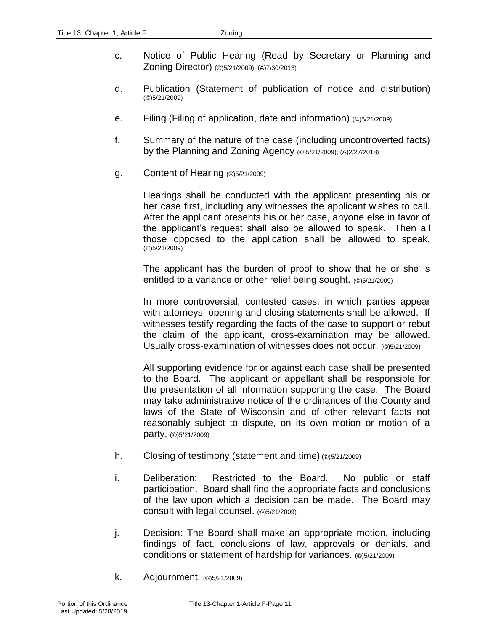- c. Notice of Public Hearing (Read by Secretary or Planning and Zoning Director) (©)5/21/2009); (A)7/30/2013)
- d. Publication (Statement of publication of notice and distribution) (©)5/21/2009)
- e. Filing (Filing of application, date and information) (©)5/21/2009)
- f. Summary of the nature of the case (including uncontroverted facts) by the Planning and Zoning Agency (©)5/21/2009); (A)2/27/2018)
- g. Content of Hearing (©)5/21/2009)

Hearings shall be conducted with the applicant presenting his or her case first, including any witnesses the applicant wishes to call. After the applicant presents his or her case, anyone else in favor of the applicant's request shall also be allowed to speak. Then all those opposed to the application shall be allowed to speak. (©)5/21/2009)

The applicant has the burden of proof to show that he or she is entitled to a variance or other relief being sought. (©)5/21/2009)

In more controversial, contested cases, in which parties appear with attorneys, opening and closing statements shall be allowed. If witnesses testify regarding the facts of the case to support or rebut the claim of the applicant, cross-examination may be allowed. Usually cross-examination of witnesses does not occur. (©)5/21/2009)

All supporting evidence for or against each case shall be presented to the Board. The applicant or appellant shall be responsible for the presentation of all information supporting the case. The Board may take administrative notice of the ordinances of the County and laws of the State of Wisconsin and of other relevant facts not reasonably subject to dispute, on its own motion or motion of a party. (©)5/21/2009)

- h. Closing of testimony (statement and time) (©)5/21/2009)
- i. Deliberation: Restricted to the Board. No public or staff participation. Board shall find the appropriate facts and conclusions of the law upon which a decision can be made. The Board may consult with legal counsel. (©)5/21/2009)
- j. Decision: The Board shall make an appropriate motion, including findings of fact, conclusions of law, approvals or denials, and conditions or statement of hardship for variances. (©)5/21/2009)
- k. Adjournment. (©)5/21/2009)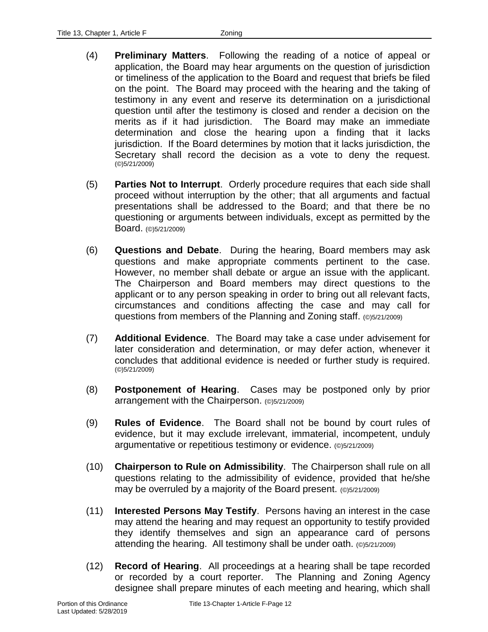- (4) **Preliminary Matters**. Following the reading of a notice of appeal or application, the Board may hear arguments on the question of jurisdiction or timeliness of the application to the Board and request that briefs be filed on the point. The Board may proceed with the hearing and the taking of testimony in any event and reserve its determination on a jurisdictional question until after the testimony is closed and render a decision on the merits as if it had jurisdiction. The Board may make an immediate determination and close the hearing upon a finding that it lacks jurisdiction. If the Board determines by motion that it lacks jurisdiction, the Secretary shall record the decision as a vote to deny the request. (©)5/21/2009)
- (5) **Parties Not to Interrupt**. Orderly procedure requires that each side shall proceed without interruption by the other; that all arguments and factual presentations shall be addressed to the Board; and that there be no questioning or arguments between individuals, except as permitted by the Board. (©)5/21/2009)
- (6) **Questions and Debate**. During the hearing, Board members may ask questions and make appropriate comments pertinent to the case. However, no member shall debate or argue an issue with the applicant. The Chairperson and Board members may direct questions to the applicant or to any person speaking in order to bring out all relevant facts, circumstances and conditions affecting the case and may call for questions from members of the Planning and Zoning staff. (©)5/21/2009)
- (7) **Additional Evidence**. The Board may take a case under advisement for later consideration and determination, or may defer action, whenever it concludes that additional evidence is needed or further study is required. (©)5/21/2009)
- (8) **Postponement of Hearing**. Cases may be postponed only by prior arrangement with the Chairperson. (©)5/21/2009)
- (9) **Rules of Evidence**. The Board shall not be bound by court rules of evidence, but it may exclude irrelevant, immaterial, incompetent, unduly argumentative or repetitious testimony or evidence. (©)5/21/2009)
- (10) **Chairperson to Rule on Admissibility**. The Chairperson shall rule on all questions relating to the admissibility of evidence, provided that he/she may be overruled by a majority of the Board present. (©)5/21/2009)
- (11) **Interested Persons May Testify**. Persons having an interest in the case may attend the hearing and may request an opportunity to testify provided they identify themselves and sign an appearance card of persons attending the hearing. All testimony shall be under oath. (©)5/21/2009)
- (12) **Record of Hearing**. All proceedings at a hearing shall be tape recorded or recorded by a court reporter. The Planning and Zoning Agency designee shall prepare minutes of each meeting and hearing, which shall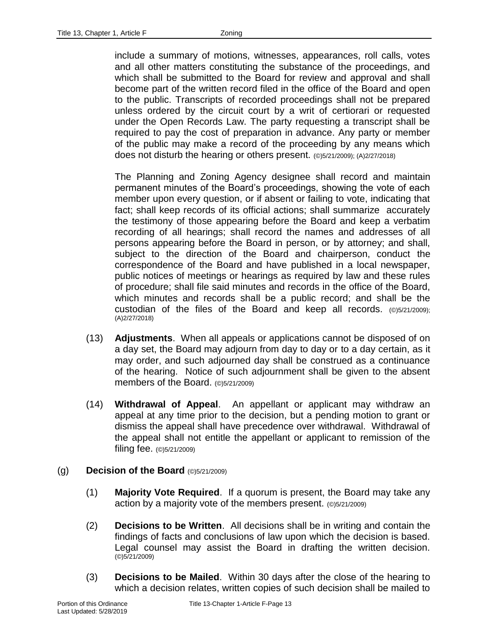include a summary of motions, witnesses, appearances, roll calls, votes and all other matters constituting the substance of the proceedings, and which shall be submitted to the Board for review and approval and shall become part of the written record filed in the office of the Board and open to the public. Transcripts of recorded proceedings shall not be prepared unless ordered by the circuit court by a writ of certiorari or requested under the Open Records Law. The party requesting a transcript shall be required to pay the cost of preparation in advance. Any party or member of the public may make a record of the proceeding by any means which does not disturb the hearing or others present. (©)5/21/2009); (A)2/27/2018)

The Planning and Zoning Agency designee shall record and maintain permanent minutes of the Board's proceedings, showing the vote of each member upon every question, or if absent or failing to vote, indicating that fact; shall keep records of its official actions; shall summarize accurately the testimony of those appearing before the Board and keep a verbatim recording of all hearings; shall record the names and addresses of all persons appearing before the Board in person, or by attorney; and shall, subject to the direction of the Board and chairperson, conduct the correspondence of the Board and have published in a local newspaper, public notices of meetings or hearings as required by law and these rules of procedure; shall file said minutes and records in the office of the Board, which minutes and records shall be a public record; and shall be the custodian of the files of the Board and keep all records. (©)5/21/2009); (A)2/27/2018)

- (13) **Adjustments**. When all appeals or applications cannot be disposed of on a day set, the Board may adjourn from day to day or to a day certain, as it may order, and such adjourned day shall be construed as a continuance of the hearing. Notice of such adjournment shall be given to the absent members of the Board. (©)5/21/2009)
- (14) **Withdrawal of Appeal**. An appellant or applicant may withdraw an appeal at any time prior to the decision, but a pending motion to grant or dismiss the appeal shall have precedence over withdrawal. Withdrawal of the appeal shall not entitle the appellant or applicant to remission of the filing fee. (©)5/21/2009)

### (g) **Decision of the Board** (©)5/21/2009)

- (1) **Majority Vote Required**. If a quorum is present, the Board may take any action by a majority vote of the members present. (©)5/21/2009)
- (2) **Decisions to be Written**. All decisions shall be in writing and contain the findings of facts and conclusions of law upon which the decision is based. Legal counsel may assist the Board in drafting the written decision. (©)5/21/2009)
- (3) **Decisions to be Mailed**. Within 30 days after the close of the hearing to which a decision relates, written copies of such decision shall be mailed to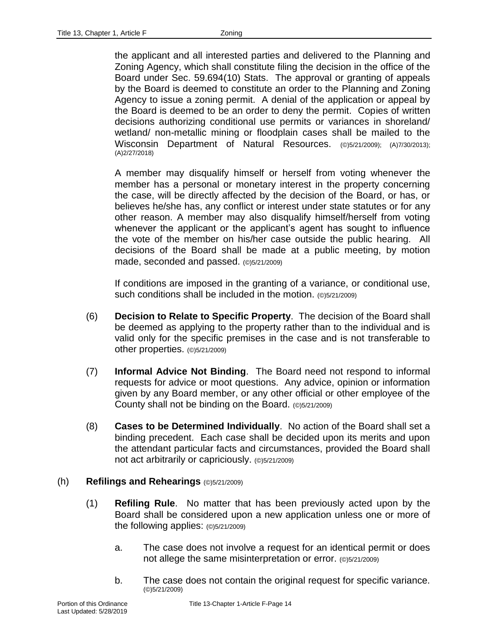the applicant and all interested parties and delivered to the Planning and Zoning Agency, which shall constitute filing the decision in the office of the Board under Sec. 59.694(10) Stats. The approval or granting of appeals by the Board is deemed to constitute an order to the Planning and Zoning Agency to issue a zoning permit. A denial of the application or appeal by the Board is deemed to be an order to deny the permit. Copies of written decisions authorizing conditional use permits or variances in shoreland/ wetland/ non-metallic mining or floodplain cases shall be mailed to the Wisconsin Department of Natural Resources. (©)5/21/2009); (A)7/30/2013); (A)2/27/2018)

A member may disqualify himself or herself from voting whenever the member has a personal or monetary interest in the property concerning the case, will be directly affected by the decision of the Board, or has, or believes he/she has, any conflict or interest under state statutes or for any other reason. A member may also disqualify himself/herself from voting whenever the applicant or the applicant's agent has sought to influence the vote of the member on his/her case outside the public hearing. All decisions of the Board shall be made at a public meeting, by motion made, seconded and passed. (©)5/21/2009)

If conditions are imposed in the granting of a variance, or conditional use, such conditions shall be included in the motion. (©)5/21/2009)

- (6) **Decision to Relate to Specific Property**. The decision of the Board shall be deemed as applying to the property rather than to the individual and is valid only for the specific premises in the case and is not transferable to other properties. (©)5/21/2009)
- (7) **Informal Advice Not Binding**. The Board need not respond to informal requests for advice or moot questions. Any advice, opinion or information given by any Board member, or any other official or other employee of the County shall not be binding on the Board. (©)5/21/2009)
- (8) **Cases to be Determined Individually**. No action of the Board shall set a binding precedent. Each case shall be decided upon its merits and upon the attendant particular facts and circumstances, provided the Board shall not act arbitrarily or capriciously. (©)5/21/2009)

### (h) **Refilings and Rehearings** (©)5/21/2009)

- (1) **Refiling Rule**. No matter that has been previously acted upon by the Board shall be considered upon a new application unless one or more of the following applies: (©)5/21/2009)
	- a. The case does not involve a request for an identical permit or does not allege the same misinterpretation or error. (©)5/21/2009)
	- b. The case does not contain the original request for specific variance. (©)5/21/2009)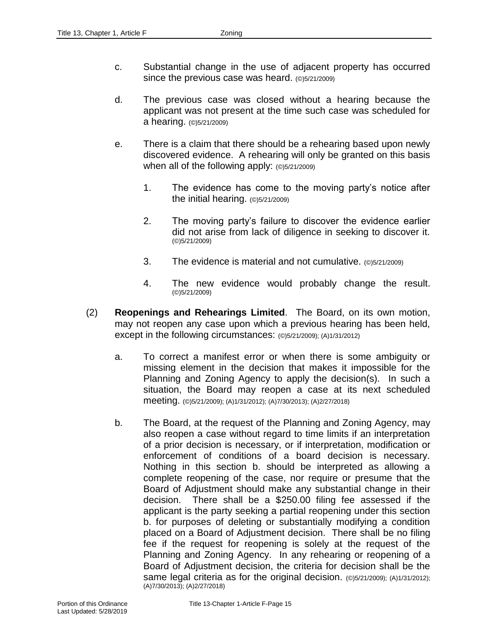- c. Substantial change in the use of adjacent property has occurred since the previous case was heard. (©)5/21/2009)
- d. The previous case was closed without a hearing because the applicant was not present at the time such case was scheduled for a hearing. (©)5/21/2009)
- e. There is a claim that there should be a rehearing based upon newly discovered evidence. A rehearing will only be granted on this basis when all of the following apply: (©)5/21/2009)
	- 1. The evidence has come to the moving party's notice after the initial hearing. (©)5/21/2009)
	- 2. The moving party's failure to discover the evidence earlier did not arise from lack of diligence in seeking to discover it. (©)5/21/2009)
	- 3. The evidence is material and not cumulative. (©)5/21/2009)
	- 4. The new evidence would probably change the result. (©)5/21/2009)
- (2) **Reopenings and Rehearings Limited**. The Board, on its own motion, may not reopen any case upon which a previous hearing has been held, except in the following circumstances: (©)5/21/2009); (A)1/31/2012)
	- a. To correct a manifest error or when there is some ambiguity or missing element in the decision that makes it impossible for the Planning and Zoning Agency to apply the decision(s). In such a situation, the Board may reopen a case at its next scheduled meeting. (©)5/21/2009); (A)1/31/2012); (A)7/30/2013); (A)2/27/2018)
	- b. The Board, at the request of the Planning and Zoning Agency, may also reopen a case without regard to time limits if an interpretation of a prior decision is necessary, or if interpretation, modification or enforcement of conditions of a board decision is necessary. Nothing in this section b. should be interpreted as allowing a complete reopening of the case, nor require or presume that the Board of Adjustment should make any substantial change in their decision. There shall be a \$250.00 filing fee assessed if the applicant is the party seeking a partial reopening under this section b. for purposes of deleting or substantially modifying a condition placed on a Board of Adjustment decision. There shall be no filing fee if the request for reopening is solely at the request of the Planning and Zoning Agency. In any rehearing or reopening of a Board of Adjustment decision, the criteria for decision shall be the same legal criteria as for the original decision. (©)5/21/2009); (A)1/31/2012); (A)7/30/2013); (A)2/27/2018)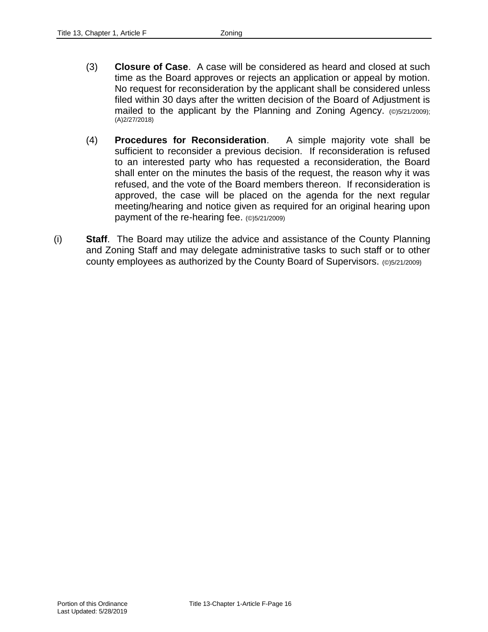- (3) **Closure of Case**. A case will be considered as heard and closed at such time as the Board approves or rejects an application or appeal by motion. No request for reconsideration by the applicant shall be considered unless filed within 30 days after the written decision of the Board of Adjustment is mailed to the applicant by the Planning and Zoning Agency. (©)5/21/2009); (A)2/27/2018)
- (4) **Procedures for Reconsideration**. A simple majority vote shall be sufficient to reconsider a previous decision. If reconsideration is refused to an interested party who has requested a reconsideration, the Board shall enter on the minutes the basis of the request, the reason why it was refused, and the vote of the Board members thereon. If reconsideration is approved, the case will be placed on the agenda for the next regular meeting/hearing and notice given as required for an original hearing upon payment of the re-hearing fee. (©)5/21/2009)
- (i) **Staff**. The Board may utilize the advice and assistance of the County Planning and Zoning Staff and may delegate administrative tasks to such staff or to other county employees as authorized by the County Board of Supervisors. (©)5/21/2009)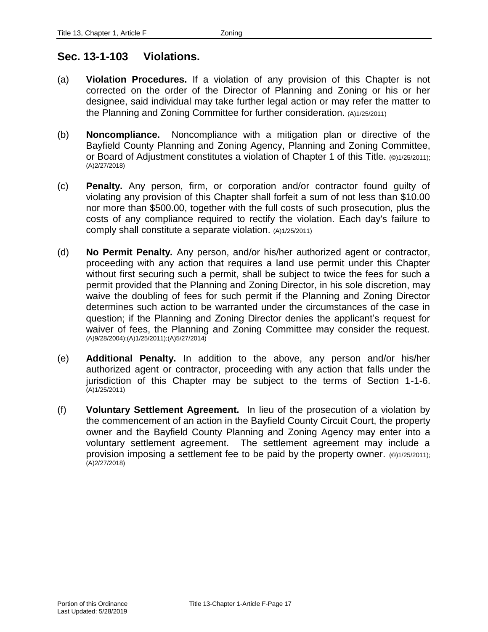### **Sec. 13-1-103 Violations.**

- (a) **Violation Procedures.** If a violation of any provision of this Chapter is not corrected on the order of the Director of Planning and Zoning or his or her designee, said individual may take further legal action or may refer the matter to the Planning and Zoning Committee for further consideration. (A)1/25/2011)
- (b) **Noncompliance.** Noncompliance with a mitigation plan or directive of the Bayfield County Planning and Zoning Agency, Planning and Zoning Committee, or Board of Adjustment constitutes a violation of Chapter 1 of this Title. (©)1/25/2011); (A)2/27/2018)
- (c) **Penalty.** Any person, firm, or corporation and/or contractor found guilty of violating any provision of this Chapter shall forfeit a sum of not less than \$10.00 nor more than \$500.00, together with the full costs of such prosecution, plus the costs of any compliance required to rectify the violation. Each day's failure to comply shall constitute a separate violation. (A)1/25/2011)
- (d) **No Permit Penalty***.* Any person, and/or his/her authorized agent or contractor, proceeding with any action that requires a land use permit under this Chapter without first securing such a permit, shall be subject to twice the fees for such a permit provided that the Planning and Zoning Director, in his sole discretion, may waive the doubling of fees for such permit if the Planning and Zoning Director determines such action to be warranted under the circumstances of the case in question; if the Planning and Zoning Director denies the applicant's request for waiver of fees, the Planning and Zoning Committee may consider the request. (A)9/28/2004);(A)1/25/2011);(A)5/27/2014)
- (e) **Additional Penalty.** In addition to the above, any person and/or his/her authorized agent or contractor, proceeding with any action that falls under the jurisdiction of this Chapter may be subject to the terms of Section 1-1-6. (A)1/25/2011)
- (f) **Voluntary Settlement Agreement.** In lieu of the prosecution of a violation by the commencement of an action in the Bayfield County Circuit Court, the property owner and the Bayfield County Planning and Zoning Agency may enter into a voluntary settlement agreement. The settlement agreement may include a provision imposing a settlement fee to be paid by the property owner. (©)1/25/2011); (A)2/27/2018)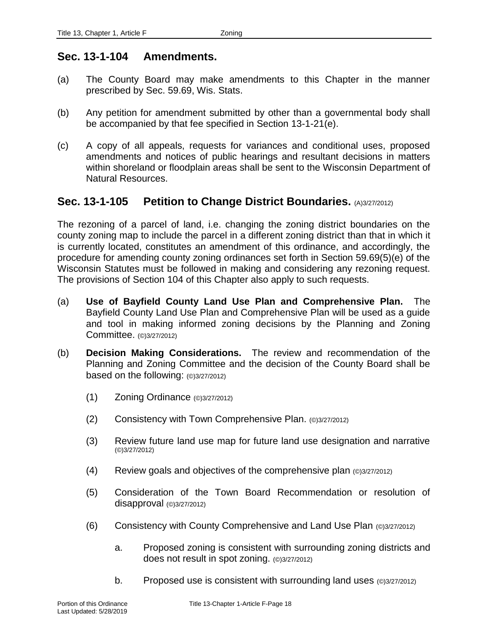### **Sec. 13-1-104 Amendments.**

- (a) The County Board may make amendments to this Chapter in the manner prescribed by Sec. 59.69, Wis. Stats.
- (b) Any petition for amendment submitted by other than a governmental body shall be accompanied by that fee specified in Section 13-1-21(e).
- (c) A copy of all appeals, requests for variances and conditional uses, proposed amendments and notices of public hearings and resultant decisions in matters within shoreland or floodplain areas shall be sent to the Wisconsin Department of Natural Resources.

### **Sec. 13-1-105 Petition to Change District Boundaries.** (A)3/27/2012)

The rezoning of a parcel of land, i.e. changing the zoning district boundaries on the county zoning map to include the parcel in a different zoning district than that in which it is currently located, constitutes an amendment of this ordinance, and accordingly, the procedure for amending county zoning ordinances set forth in Section 59.69(5)(e) of the Wisconsin Statutes must be followed in making and considering any rezoning request. The provisions of Section 104 of this Chapter also apply to such requests.

- (a) **Use of Bayfield County Land Use Plan and Comprehensive Plan.** The Bayfield County Land Use Plan and Comprehensive Plan will be used as a guide and tool in making informed zoning decisions by the Planning and Zoning Committee. (©)3/27/2012)
- (b) **Decision Making Considerations.** The review and recommendation of the Planning and Zoning Committee and the decision of the County Board shall be based on the following: (©)3/27/2012)
	- (1) Zoning Ordinance (©)3/27/2012)
	- (2) Consistency with Town Comprehensive Plan. (©)3/27/2012)
	- (3) Review future land use map for future land use designation and narrative (©)3/27/2012)
	- (4) Review goals and objectives of the comprehensive plan (©)3/27/2012)
	- (5) Consideration of the Town Board Recommendation or resolution of disapproval (©)3/27/2012)
	- (6) Consistency with County Comprehensive and Land Use Plan (©)3/27/2012)
		- a. Proposed zoning is consistent with surrounding zoning districts and does not result in spot zoning. (©)3/27/2012)
		- b. Proposed use is consistent with surrounding land uses  $(©)3/27/2012)$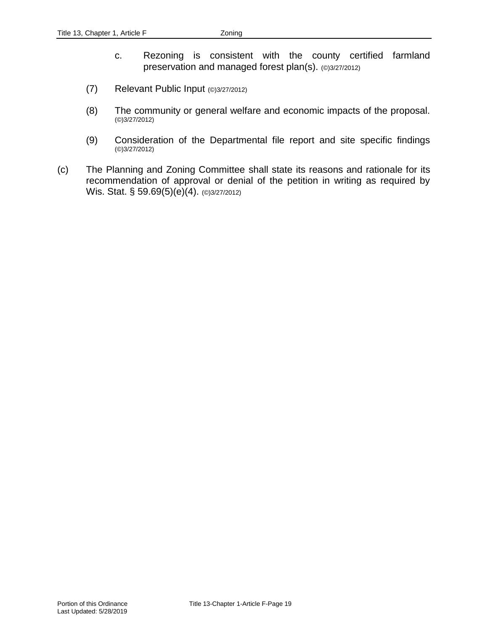- c. Rezoning is consistent with the county certified farmland preservation and managed forest plan(s). (©)3/27/2012)
- (7) Relevant Public Input (©)3/27/2012)
- (8) The community or general welfare and economic impacts of the proposal. (©)3/27/2012)
- (9) Consideration of the Departmental file report and site specific findings (©)3/27/2012)
- (c) The Planning and Zoning Committee shall state its reasons and rationale for its recommendation of approval or denial of the petition in writing as required by Wis. Stat. § 59.69(5)(e)(4). (©)3/27/2012)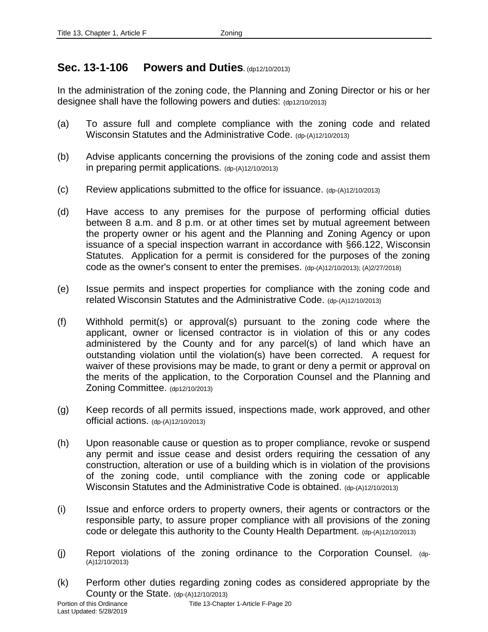# **Sec. 13-1-106 Powers and Duties.** (dp12/10/2013)

In the administration of the zoning code, the Planning and Zoning Director or his or her designee shall have the following powers and duties: (dp12/10/2013)

- (a) To assure full and complete compliance with the zoning code and related Wisconsin Statutes and the Administrative Code. (dp-(A)12/10/2013)
- (b) Advise applicants concerning the provisions of the zoning code and assist them in preparing permit applications. (dp-(A)12/10/2013)
- (c) Review applications submitted to the office for issuance.  $(d<sub>D</sub>-(A)12/10/2013)$
- (d) Have access to any premises for the purpose of performing official duties between 8 a.m. and 8 p.m. or at other times set by mutual agreement between the property owner or his agent and the Planning and Zoning Agency or upon issuance of a special inspection warrant in accordance with §66.122, Wisconsin Statutes. Application for a permit is considered for the purposes of the zoning code as the owner's consent to enter the premises. (dp-(A)12/10/2013); (A)2/27/2018)
- (e) Issue permits and inspect properties for compliance with the zoning code and related Wisconsin Statutes and the Administrative Code. (dp-(A)12/10/2013)
- (f) Withhold permit(s) or approval(s) pursuant to the zoning code where the applicant, owner or licensed contractor is in violation of this or any codes administered by the County and for any parcel(s) of land which have an outstanding violation until the violation(s) have been corrected. A request for waiver of these provisions may be made, to grant or deny a permit or approval on the merits of the application, to the Corporation Counsel and the Planning and Zoning Committee. (dp12/10/2013)
- (g) Keep records of all permits issued, inspections made, work approved, and other official actions. (dp-(A)12/10/2013)
- (h) Upon reasonable cause or question as to proper compliance, revoke or suspend any permit and issue cease and desist orders requiring the cessation of any construction, alteration or use of a building which is in violation of the provisions of the zoning code, until compliance with the zoning code or applicable Wisconsin Statutes and the Administrative Code is obtained. (dp-(A)12/10/2013)
- (i) Issue and enforce orders to property owners, their agents or contractors or the responsible party, to assure proper compliance with all provisions of the zoning code or delegate this authority to the County Health Department. (dp-(A)12/10/2013)
- (j) Report violations of the zoning ordinance to the Corporation Counsel. (dp- (A)12/10/2013)
- (k) Perform other duties regarding zoning codes as considered appropriate by the County or the State. (dp-(A)12/10/2013)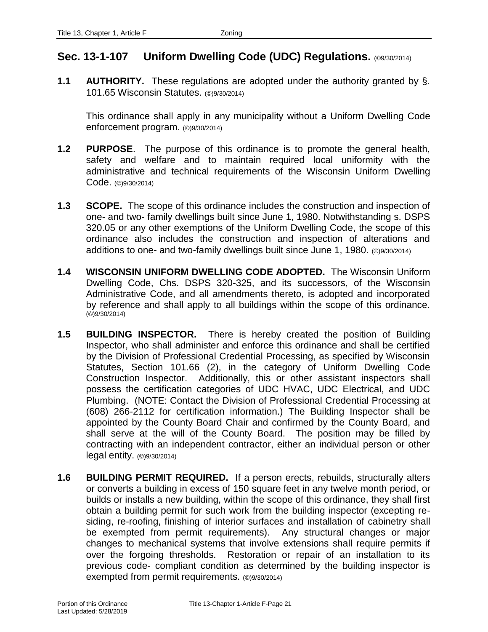# **Sec. 13-1-107 Uniform Dwelling Code (UDC) Regulations.** (©9/30/2014)

**1.1 AUTHORITY.** These regulations are adopted under the authority granted by §. 101.65 Wisconsin Statutes. (©)9/30/2014)

This ordinance shall apply in any municipality without a Uniform Dwelling Code enforcement program. (©)9/30/2014)

- **1.2 PURPOSE**. The purpose of this ordinance is to promote the general health, safety and welfare and to maintain required local uniformity with the administrative and technical requirements of the Wisconsin Uniform Dwelling Code. (©)9/30/2014)
- **1.3 SCOPE.** The scope of this ordinance includes the construction and inspection of one- and two- family dwellings built since June 1, 1980. Notwithstanding s. DSPS 320.05 or any other exemptions of the Uniform Dwelling Code, the scope of this ordinance also includes the construction and inspection of alterations and additions to one- and two-family dwellings built since June 1, 1980. (©)9/30/2014)
- **1.4 WISCONSIN UNIFORM DWELLING CODE ADOPTED.** The Wisconsin Uniform Dwelling Code, Chs. DSPS 320-325, and its successors, of the Wisconsin Administrative Code, and all amendments thereto, is adopted and incorporated by reference and shall apply to all buildings within the scope of this ordinance. (©)9/30/2014)
- **1.5 BUILDING INSPECTOR.** There is hereby created the position of Building Inspector, who shall administer and enforce this ordinance and shall be certified by the Division of Professional Credential Processing, as specified by Wisconsin Statutes, Section 101.66 (2), in the category of Uniform Dwelling Code Construction Inspector. Additionally, this or other assistant inspectors shall possess the certification categories of UDC HVAC, UDC Electrical, and UDC Plumbing. (NOTE: Contact the Division of Professional Credential Processing at (608) 266-2112 for certification information.) The Building Inspector shall be appointed by the County Board Chair and confirmed by the County Board, and shall serve at the will of the County Board. The position may be filled by contracting with an independent contractor, either an individual person or other legal entity. (©)9/30/2014)
- **1.6 BUILDING PERMIT REQUIRED.** If a person erects, rebuilds, structurally alters or converts a building in excess of 150 square feet in any twelve month period, or builds or installs a new building, within the scope of this ordinance, they shall first obtain a building permit for such work from the building inspector (excepting residing, re-roofing, finishing of interior surfaces and installation of cabinetry shall be exempted from permit requirements). Any structural changes or major changes to mechanical systems that involve extensions shall require permits if over the forgoing thresholds. Restoration or repair of an installation to its previous code- compliant condition as determined by the building inspector is exempted from permit requirements. (©)9/30/2014)